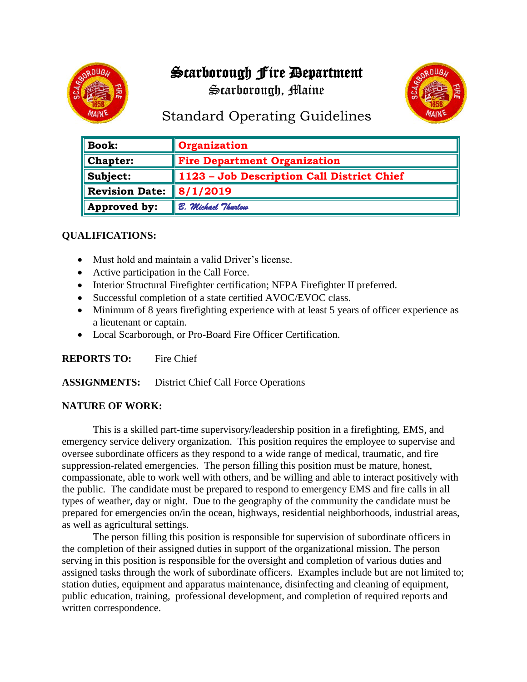# Scarborough Fire Department

Scarborough, Maine



## Standard Operating Guidelines

| <b>Book:</b>          | <b>Organization</b>                        |
|-----------------------|--------------------------------------------|
| <b>Chapter:</b>       | <b>Fire Department Organization</b>        |
| Subject:              | 1123 - Job Description Call District Chief |
| <b>Revision Date:</b> | $\parallel$ 8/1/2019                       |
| Approved by:          | B. Michael Thurlow                         |

### **QUALIFICATIONS:**

- Must hold and maintain a valid Driver's license.
- Active participation in the Call Force.
- Interior Structural Firefighter certification; NFPA Firefighter II preferred.
- Successful completion of a state certified AVOC/EVOC class.
- Minimum of 8 years firefighting experience with at least 5 years of officer experience as a lieutenant or captain.
- Local Scarborough, or Pro-Board Fire Officer Certification.

**REPORTS TO:** Fire Chief

**ASSIGNMENTS:** District Chief Call Force Operations

#### **NATURE OF WORK:**

This is a skilled part-time supervisory/leadership position in a firefighting, EMS, and emergency service delivery organization. This position requires the employee to supervise and oversee subordinate officers as they respond to a wide range of medical, traumatic, and fire suppression-related emergencies. The person filling this position must be mature, honest, compassionate, able to work well with others, and be willing and able to interact positively with the public. The candidate must be prepared to respond to emergency EMS and fire calls in all types of weather, day or night. Due to the geography of the community the candidate must be prepared for emergencies on/in the ocean, highways, residential neighborhoods, industrial areas, as well as agricultural settings.

The person filling this position is responsible for supervision of subordinate officers in the completion of their assigned duties in support of the organizational mission. The person serving in this position is responsible for the oversight and completion of various duties and assigned tasks through the work of subordinate officers. Examples include but are not limited to; station duties, equipment and apparatus maintenance, disinfecting and cleaning of equipment, public education, training, professional development, and completion of required reports and written correspondence.